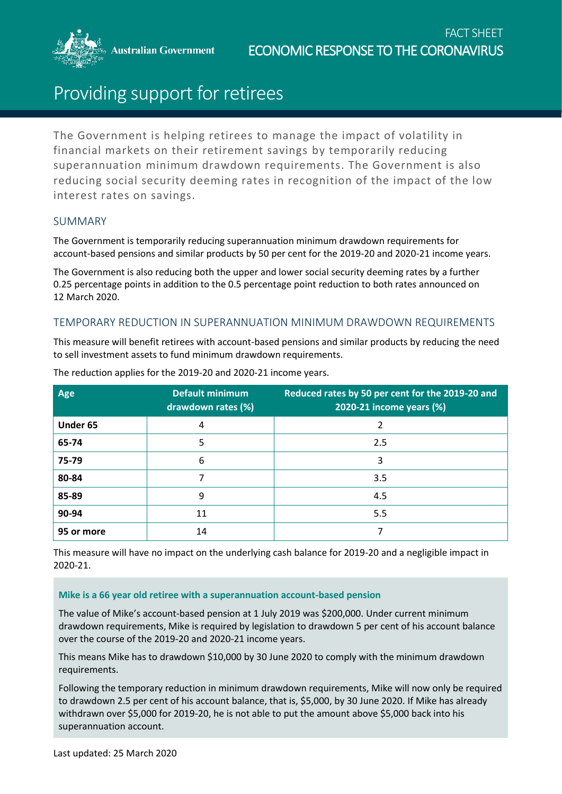**Australian Government** 



# Providing support for retirees

The Government is helping retirees to manage the impact of volatility in financial markets on their retirement savings by temporarily reducing superannuation minimum drawdown requirements. The Government is also reducing social security deeming rates in recognition of the impact of the low interest rates on savings.

## SUMMARY

The Government is temporarily reducing superannuation minimum drawdown requirements for account-based pensions and similar products by 50 per cent for the 2019-20 and 2020-21 income years.

The Government is also reducing both the upper and lower social security deeming rates by a further 0.25 percentage points in addition to the 0.5 percentage point reduction to both rates announced on 12 March 2020.

## TEMPORARY REDUCTION IN SUPERANNUATION MINIMUM DRAWDOWN REQUIREMENTS

This measure will benefit retirees with account-based pensions and similar products by reducing the need to sell investment assets to fund minimum drawdown requirements.

| Age        | <b>Default minimum</b><br>drawdown rates (%) | Reduced rates by 50 per cent for the 2019-20 and<br>2020-21 income years (%) |
|------------|----------------------------------------------|------------------------------------------------------------------------------|
| Under 65   | 4                                            |                                                                              |
| 65-74      | 5                                            | 2.5                                                                          |
| 75-79      | 6                                            | 3                                                                            |
| 80-84      |                                              | 3.5                                                                          |
| 85-89      | 9                                            | 4.5                                                                          |
| 90-94      | 11                                           | 5.5                                                                          |
| 95 or more | 14                                           |                                                                              |

The reduction applies for the 2019-20 and 2020-21 income years.

This measure will have no impact on the underlying cash balance for 2019-20 and a negligible impact in 2020-21.

#### **Mike is a 66 year old retiree with a superannuation account-based pension**

The value of Mike's account-based pension at 1 July 2019 was \$200,000. Under current minimum drawdown requirements, Mike is required by legislation to drawdown 5 per cent of his account balance over the course of the 2019-20 and 2020-21 income years.

This means Mike has to drawdown \$10,000 by 30 June 2020 to comply with the minimum drawdown requirements.

Following the temporary reduction in minimum drawdown requirements, Mike will now only be required to drawdown 2.5 per cent of his account balance, that is, \$5,000, by 30 June 2020. If Mike has already withdrawn over \$5,000 for 2019-20, he is not able to put the amount above \$5,000 back into his superannuation account.